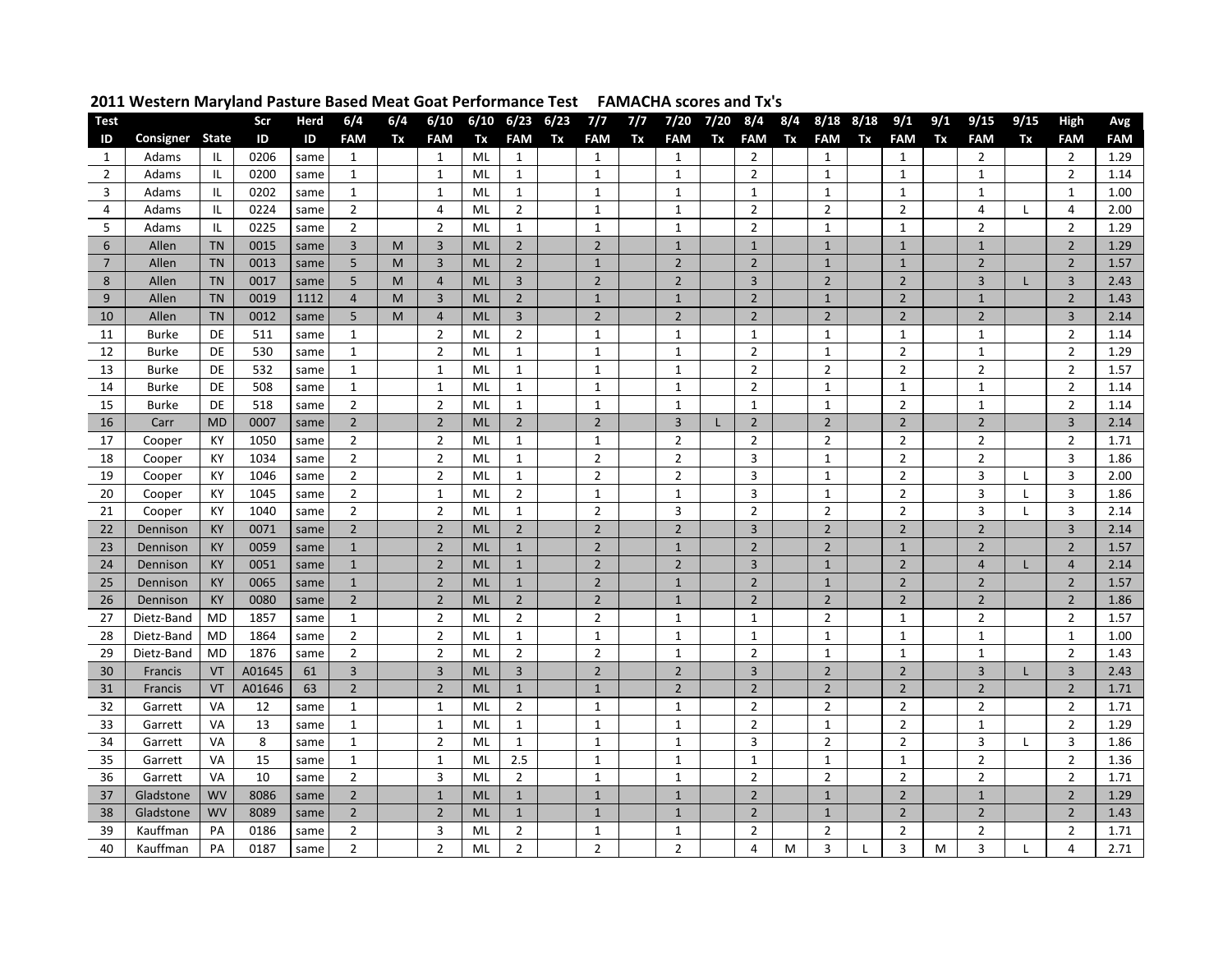| Test           |              |              | Scr    | Herd | 6/4            | 6/4 | 6/10           |           | $6/10$ $6/23$ $6/23$ |    | 7/7            | 7/7 | 7/20           | 7/20 8/4 |                |    | 8/4 8/18 8/18  |    | 9/1            | 9/1 | 9/15           | 9/15         | <b>High</b>             | Avg        |
|----------------|--------------|--------------|--------|------|----------------|-----|----------------|-----------|----------------------|----|----------------|-----|----------------|----------|----------------|----|----------------|----|----------------|-----|----------------|--------------|-------------------------|------------|
| ID             | Consigner    | <b>State</b> | ID     | ID   | <b>FAM</b>     | Tx  | <b>FAM</b>     | Tx        | <b>FAM</b>           | Tx | <b>FAM</b>     | Tx  | <b>FAM</b>     | Tx       | <b>FAM</b>     | Tx | <b>FAM</b>     | Tx | <b>FAM</b>     | Tx  | <b>FAM</b>     | Tx           | <b>FAM</b>              | <b>FAM</b> |
| 1              | Adams        | IL           | 0206   | same | $\mathbf{1}$   |     | $\mathbf{1}$   | ML        | $\mathbf{1}$         |    | $\mathbf{1}$   |     | $\mathbf{1}$   |          | $\overline{2}$ |    | 1              |    | 1              |     | $\overline{2}$ |              | $\overline{2}$          | 1.29       |
| $\overline{2}$ | Adams        | IL           | 0200   | same | $\mathbf{1}$   |     | $\mathbf{1}$   | ML        | $\mathbf{1}$         |    | $\mathbf{1}$   |     | $\mathbf{1}$   |          | $\overline{2}$ |    | $\mathbf{1}$   |    | $\mathbf{1}$   |     | $\mathbf{1}$   |              | $\overline{2}$          | 1.14       |
| 3              | Adams        | IL           | 0202   | same | $\mathbf{1}$   |     | $\mathbf{1}$   | ML        | $\mathbf{1}$         |    | $\mathbf{1}$   |     | $\mathbf{1}$   |          | $\mathbf{1}$   |    | 1              |    | $\mathbf{1}$   |     | $\mathbf{1}$   |              | $\mathbf{1}$            | 1.00       |
| 4              | Adams        | IL           | 0224   | same | $\overline{2}$ |     | 4              | ML        | $\overline{2}$       |    | $\mathbf{1}$   |     | $\mathbf{1}$   |          | $\overline{2}$ |    | $\overline{2}$ |    | $\overline{2}$ |     | $\overline{4}$ | L            | 4                       | 2.00       |
| 5              | Adams        | IL           | 0225   | same | $\overline{2}$ |     | $\overline{2}$ | ML        | $\mathbf 1$          |    | $\mathbf{1}$   |     | $\mathbf{1}$   |          | $\overline{2}$ |    | $\mathbf{1}$   |    | $\mathbf{1}$   |     | $\overline{2}$ |              | $\overline{2}$          | 1.29       |
| $6\phantom{1}$ | Allen        | <b>TN</b>    | 0015   | same | 3              | M   | 3              | <b>ML</b> | $\overline{2}$       |    | $\overline{2}$ |     | $\mathbf{1}$   |          | $\mathbf{1}$   |    | $\mathbf{1}$   |    | $1\,$          |     | $\mathbf{1}$   |              | $\overline{2}$          | 1.29       |
| $\overline{7}$ | Allen        | <b>TN</b>    | 0013   | same | 5              | M   | 3              | <b>ML</b> | $\overline{2}$       |    | $\mathbf{1}$   |     | $\overline{2}$ |          | $\overline{2}$ |    | $\mathbf{1}$   |    | $\mathbf{1}$   |     | $\overline{2}$ |              | $\overline{2}$          | 1.57       |
| 8              | Allen        | <b>TN</b>    | 0017   | same | 5              | M   | $\overline{4}$ | <b>ML</b> | $\overline{3}$       |    | $\overline{2}$ |     | $\overline{2}$ |          | $\overline{3}$ |    | $\overline{2}$ |    | $\overline{2}$ |     | $\overline{3}$ | L            | 3                       | 2.43       |
| 9              | Allen        | <b>TN</b>    | 0019   | 1112 | $\overline{4}$ | M   | $\overline{3}$ | <b>ML</b> | $\overline{2}$       |    | $\mathbf{1}$   |     | $\mathbf{1}$   |          | $\overline{2}$ |    | $\mathbf{1}$   |    | $\overline{2}$ |     | $\mathbf{1}$   |              | $\overline{2}$          | 1.43       |
| 10             | Allen        | <b>TN</b>    | 0012   | same | 5              | M   | $\overline{4}$ | <b>ML</b> | $\overline{3}$       |    | $\overline{2}$ |     | $\overline{2}$ |          | $\overline{2}$ |    | $\overline{2}$ |    | $\overline{2}$ |     | $\overline{2}$ |              | $\overline{3}$          | 2.14       |
| 11             | <b>Burke</b> | DE           | 511    | same | 1              |     | $\overline{2}$ | ML        | $\overline{2}$       |    | $\mathbf{1}$   |     | $\mathbf{1}$   |          | $\mathbf{1}$   |    | $\mathbf{1}$   |    | 1              |     | $\mathbf{1}$   |              | $\overline{2}$          | 1.14       |
| 12             | <b>Burke</b> | <b>DE</b>    | 530    | same | $\mathbf{1}$   |     | $\overline{2}$ | ML        | $\mathbf{1}$         |    | $\mathbf{1}$   |     | $\mathbf{1}$   |          | $\overline{2}$ |    | $\mathbf{1}$   |    | $\overline{2}$ |     | $\mathbf{1}$   |              | $\overline{2}$          | 1.29       |
| 13             | <b>Burke</b> | <b>DE</b>    | 532    | same | $\mathbf{1}$   |     | $\mathbf{1}$   | ML        | $\mathbf{1}$         |    | $\mathbf{1}$   |     | $\mathbf{1}$   |          | $\overline{2}$ |    | $\overline{2}$ |    | $\overline{2}$ |     | $\overline{2}$ |              | $\overline{2}$          | 1.57       |
| 14             | <b>Burke</b> | DE           | 508    | same | $\mathbf{1}$   |     | $\mathbf{1}$   | ML        | $\mathbf{1}$         |    | $\mathbf{1}$   |     | $\mathbf{1}$   |          | $\overline{2}$ |    | $\mathbf{1}$   |    | $\mathbf{1}$   |     | $\mathbf{1}$   |              | $\overline{2}$          | 1.14       |
| 15             | <b>Burke</b> | <b>DE</b>    | 518    | same | $\overline{2}$ |     | $\overline{2}$ | ML        | $\mathbf 1$          |    | $\mathbf 1$    |     | $1\,$          |          | $\mathbf 1$    |    | $1\,$          |    | $\overline{2}$ |     | $\mathbf{1}$   |              | $\overline{2}$          | 1.14       |
| 16             | Carr         | <b>MD</b>    | 0007   | same | $\overline{2}$ |     | $\overline{2}$ | <b>ML</b> | $\overline{2}$       |    | $\mathbf 2$    |     | $\overline{3}$ |          | $\overline{2}$ |    | $\overline{2}$ |    | $\mathbf 2$    |     | $\overline{2}$ |              | $\overline{3}$          | 2.14       |
| 17             | Cooper       | КY           | 1050   | same | $\overline{2}$ |     | $\overline{2}$ | ML        | $\mathbf 1$          |    | $\mathbf{1}$   |     | $\overline{2}$ |          | $\overline{2}$ |    | $\overline{2}$ |    | $\overline{2}$ |     | $\overline{2}$ |              | $\overline{2}$          | 1.71       |
| 18             | Cooper       | КY           | 1034   | same | $\mathbf{2}$   |     | $\overline{2}$ | ML        | $\mathbf 1$          |    | $\overline{2}$ |     | $\mathbf 2$    |          | 3              |    | $\mathbf 1$    |    | $\overline{2}$ |     | $\overline{2}$ |              | $\overline{\mathbf{3}}$ | 1.86       |
| 19             | Cooper       | КY           | 1046   | same | $\overline{2}$ |     | $\overline{2}$ | ML        | $\mathbf 1$          |    | $\mathbf 2$    |     | $\mathbf 2$    |          | 3              |    | $\mathbf{1}$   |    | $\overline{2}$ |     | $\overline{3}$ | L            | 3                       | 2.00       |
| 20             | Cooper       | КY           | 1045   | same | $\overline{2}$ |     | $\mathbf{1}$   | ML        | $\overline{2}$       |    | $\mathbf{1}$   |     | $\mathbf{1}$   |          | 3              |    | $\mathbf{1}$   |    | $\overline{2}$ |     | 3              | $\mathbf{I}$ | 3                       | 1.86       |
| 21             | Cooper       | KY           | 1040   | same | $\overline{2}$ |     | $\overline{2}$ | ML        | $\mathbf{1}$         |    | $\overline{2}$ |     | $\overline{3}$ |          | $\overline{2}$ |    | $\overline{2}$ |    | $\overline{2}$ |     | 3              | $\mathsf{L}$ | 3                       | 2.14       |
| 22             | Dennison     | <b>KY</b>    | 0071   | same | $\overline{2}$ |     | $\overline{2}$ | <b>ML</b> | $\overline{2}$       |    | $\overline{2}$ |     | $\overline{2}$ |          | $\overline{3}$ |    | $\overline{2}$ |    | $\overline{2}$ |     | $\overline{2}$ |              | $\overline{3}$          | 2.14       |
| 23             | Dennison     | KY           | 0059   | same | $\mathbf{1}$   |     | $\overline{2}$ | <b>ML</b> | $\mathbf{1}$         |    | $\overline{2}$ |     | $\mathbf{1}$   |          | $\overline{2}$ |    | $\overline{2}$ |    | $\mathbf{1}$   |     | $\overline{2}$ |              | $\overline{2}$          | 1.57       |
| 24             | Dennison     | KY           | 0051   | same | $\mathbf{1}$   |     | $\overline{2}$ | <b>ML</b> | $\mathbf{1}$         |    | $\overline{2}$ |     | $\overline{2}$ |          | 3              |    | $\mathbf{1}$   |    | $\overline{2}$ |     | $\overline{4}$ | L            | $\overline{4}$          | 2.14       |
| 25             | Dennison     | KY           | 0065   | same | $\mathbf{1}$   |     | $\overline{2}$ | <b>ML</b> | $\mathbf{1}$         |    | $\overline{2}$ |     | $\mathbf{1}$   |          | $\overline{2}$ |    | $\mathbf{1}$   |    | $\overline{2}$ |     | $\overline{2}$ |              | $\overline{2}$          | 1.57       |
| 26             | Dennison     | <b>KY</b>    | 0080   | same | $\overline{2}$ |     | $\overline{2}$ | <b>ML</b> | $\overline{2}$       |    | $\overline{2}$ |     | $\mathbf{1}$   |          | $\overline{2}$ |    | $\overline{2}$ |    | $\overline{2}$ |     | $\overline{2}$ |              | $\overline{2}$          | 1.86       |
| 27             | Dietz-Band   | <b>MD</b>    | 1857   | same | $\mathbf{1}$   |     | $\overline{2}$ | ML        | $\overline{2}$       |    | $\overline{2}$ |     | $\mathbf{1}$   |          | $\mathbf{1}$   |    | $\overline{2}$ |    | $\mathbf{1}$   |     | $\overline{2}$ |              | $\overline{2}$          | 1.57       |
| 28             | Dietz-Band   | <b>MD</b>    | 1864   | same | $\overline{2}$ |     | $\overline{2}$ | ML        | $\mathbf 1$          |    | $\mathbf 1$    |     | $\mathbf{1}$   |          | $\mathbf{1}$   |    | $\mathbf{1}$   |    | $\mathbf{1}$   |     | $\mathbf{1}$   |              | $\mathbf{1}$            | 1.00       |
| 29             | Dietz-Band   | <b>MD</b>    | 1876   | same | $\overline{2}$ |     | $\overline{2}$ | ML        | $\overline{2}$       |    | $\overline{2}$ |     | $\mathbf{1}$   |          | $\overline{2}$ |    | $\mathbf{1}$   |    | $\mathbf{1}$   |     | $\mathbf{1}$   |              | $\overline{2}$          | 1.43       |
| 30             | Francis      | <b>VT</b>    | A01645 | 61   | $\overline{3}$ |     | $\overline{3}$ | <b>ML</b> | $\overline{3}$       |    | $\overline{2}$ |     | $\overline{2}$ |          | $\overline{3}$ |    | $\overline{2}$ |    | $\overline{2}$ |     | $\overline{3}$ | L            | $\overline{3}$          | 2.43       |
| 31             | Francis      | VT           | A01646 | 63   | $\overline{2}$ |     | $\overline{2}$ | <b>ML</b> | $\mathbf{1}$         |    | $\mathbf{1}$   |     | $\overline{2}$ |          | $\overline{2}$ |    | $\overline{2}$ |    | $\overline{2}$ |     | $\overline{2}$ |              | $\overline{2}$          | 1.71       |
| 32             | Garrett      | VA           | 12     | same | $\mathbf{1}$   |     | $\mathbf{1}$   | ML        | $\overline{2}$       |    | $\mathbf{1}$   |     | $\mathbf{1}$   |          | $\overline{2}$ |    | $\overline{2}$ |    | $\overline{2}$ |     | $\overline{2}$ |              | $\overline{2}$          | 1.71       |
| 33             | Garrett      | VA           | 13     | same | $\mathbf{1}$   |     | $\mathbf{1}$   | ML        | $\mathbf{1}$         |    | $\mathbf{1}$   |     | $\mathbf{1}$   |          | $\overline{2}$ |    | $\mathbf{1}$   |    | $\overline{2}$ |     | $\mathbf{1}$   |              | $\overline{2}$          | 1.29       |
| 34             | Garrett      | VA           | 8      | same | $\mathbf{1}$   |     | $\overline{2}$ | ML        | $\mathbf{1}$         |    | $\mathbf{1}$   |     | $\mathbf{1}$   |          | 3              |    | $\overline{2}$ |    | $\overline{2}$ |     | $\overline{3}$ | L            | 3                       | 1.86       |
| 35             | Garrett      | VA           | 15     | same | $\mathbf{1}$   |     | $\mathbf{1}$   | ML        | 2.5                  |    | $1\,$          |     | $\mathbf{1}$   |          | $\mathbf{1}$   |    | $\mathbf{1}$   |    | $\mathbf{1}$   |     | $\overline{2}$ |              | $\overline{2}$          | 1.36       |
| 36             | Garrett      | <b>VA</b>    | 10     | same | $\overline{2}$ |     | 3              | ML        | $\overline{2}$       |    | $1\,$          |     | $\mathbf{1}$   |          | $\overline{2}$ |    | $\overline{2}$ |    | $\overline{2}$ |     | $\overline{2}$ |              | $\overline{2}$          | 1.71       |
| 37             | Gladstone    | <b>WV</b>    | 8086   | same | $\overline{2}$ |     | $\mathbf{1}$   | <b>ML</b> | $\mathbf{1}$         |    | $1\,$          |     | $\mathbf{1}$   |          | $\overline{2}$ |    | $\mathbf{1}$   |    | $\overline{2}$ |     | $\mathbf{1}$   |              | $\overline{2}$          | 1.29       |
| 38             | Gladstone    | <b>WV</b>    | 8089   | same | $\overline{2}$ |     | $\overline{2}$ | <b>ML</b> | $\mathbf{1}$         |    | $\mathbf{1}$   |     | $\mathbf{1}$   |          | $\overline{2}$ |    | $\mathbf{1}$   |    | $\overline{2}$ |     | $\overline{2}$ |              | $\overline{2}$          | 1.43       |
| 39             | Kauffman     | PA           | 0186   | same | $\overline{2}$ |     | 3              | ML        | $\overline{2}$       |    | $\mathbf{1}$   |     | $\mathbf{1}$   |          | $\overline{2}$ |    | $\overline{2}$ |    | $\overline{2}$ |     | $\overline{2}$ |              | $\overline{2}$          | 1.71       |
| 40             | Kauffman     | PA           | 0187   | same | $\overline{2}$ |     | $\overline{2}$ | ML        | $\overline{2}$       |    | $\overline{2}$ |     | $\overline{2}$ |          | 4              | М  | 3              |    | 3              | М   | 3              |              | 4                       | 2.71       |

## **Western Maryland Pasture Based Meat Goat Performance Test FAMACHA scores and Tx's**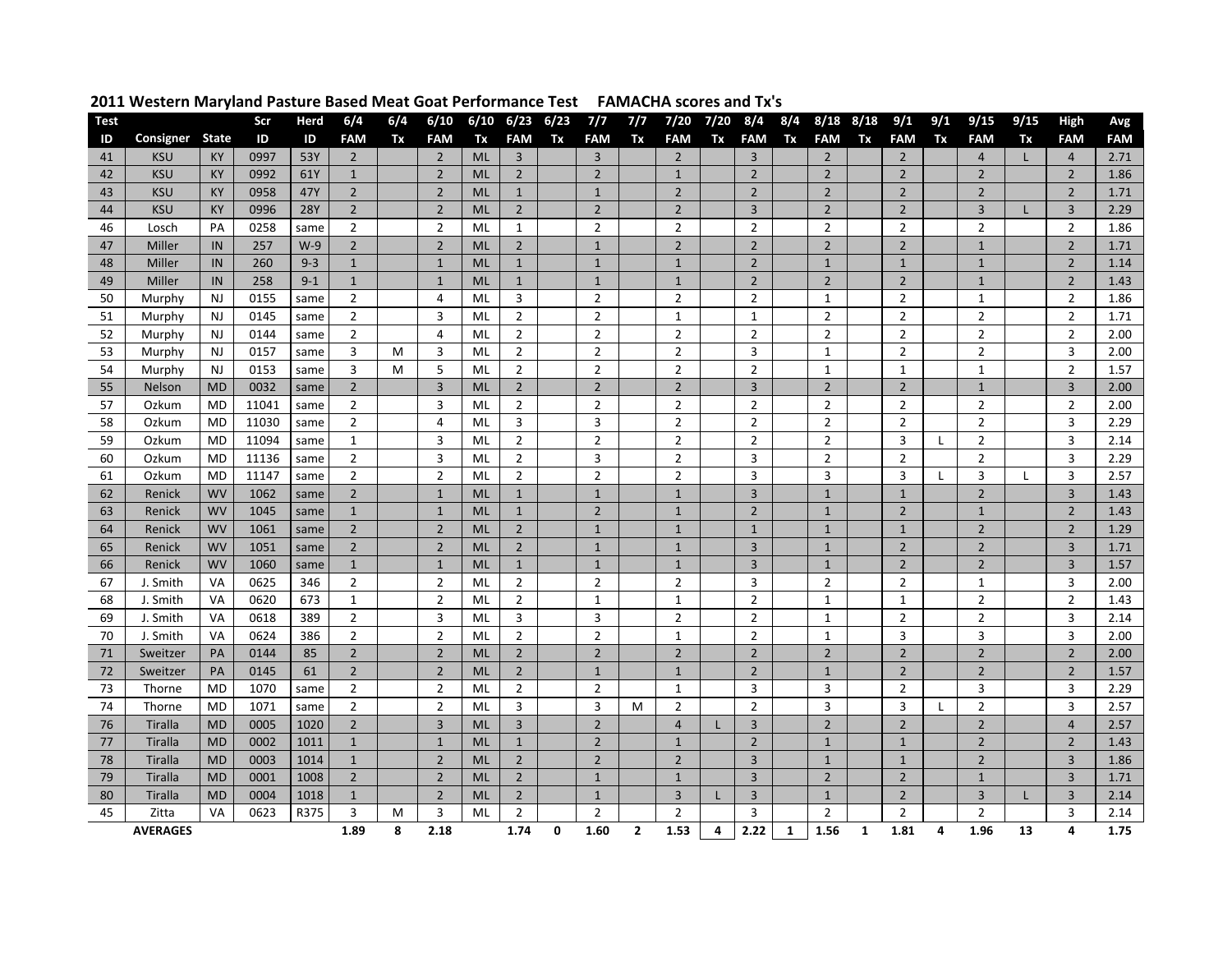| <b>Test</b> |                 |                | Scr   | Herd       | 6/4            | 6/4 | 6/10           |           | $6/10$ $6/23$  | 6/23     | 7/7            | 7/7            | 7/20           | 7/20 | 8/4            | 8/4 | $8/18$ $8/18$  |              | 9/1            | 9/1          | 9/15           | 9/15         | <b>High</b>    | Avg        |
|-------------|-----------------|----------------|-------|------------|----------------|-----|----------------|-----------|----------------|----------|----------------|----------------|----------------|------|----------------|-----|----------------|--------------|----------------|--------------|----------------|--------------|----------------|------------|
| ID          | Consigner       | <b>State</b>   | ID    | ID         | <b>FAM</b>     | Tx  | <b>FAM</b>     | Tx        | <b>FAM</b>     | Tx       | <b>FAM</b>     | Tx             | <b>FAM</b>     | Tx   | <b>FAM</b>     | Tx  | <b>FAM</b>     | Tx           | <b>FAM</b>     | Tx           | <b>FAM</b>     | Tx           | <b>FAM</b>     | <b>FAM</b> |
| 41          | <b>KSU</b>      | KY             | 0997  | 53Y        | $\overline{2}$ |     | $\overline{2}$ | <b>ML</b> | $\overline{3}$ |          | $\overline{3}$ |                | $\overline{2}$ |      | $\overline{3}$ |     | $\overline{2}$ |              | $\overline{2}$ |              | $\overline{4}$ |              | $\overline{4}$ | 2.71       |
| 42          | <b>KSU</b>      | KY             | 0992  | 61Y        | $\mathbf{1}$   |     | $\overline{2}$ | <b>ML</b> | $\overline{2}$ |          | $\overline{2}$ |                | $\mathbf{1}$   |      | $\overline{2}$ |     | $\overline{2}$ |              | $\overline{2}$ |              | $\overline{2}$ |              | $\overline{2}$ | 1.86       |
| 43          | <b>KSU</b>      | KY             | 0958  | 47Y        | $\overline{2}$ |     | $\overline{2}$ | <b>ML</b> | $\mathbf{1}$   |          | $1\,$          |                | $\overline{2}$ |      | $\overline{2}$ |     | $\overline{2}$ |              | $\overline{2}$ |              | $\overline{2}$ |              | $\overline{2}$ | 1.71       |
| 44          | <b>KSU</b>      | KY             | 0996  | <b>28Y</b> | $\overline{2}$ |     | $\overline{2}$ | <b>ML</b> | $\overline{2}$ |          | $\overline{2}$ |                | $\overline{2}$ |      | $\overline{3}$ |     | $\overline{2}$ |              | $\overline{2}$ |              | $\overline{3}$ | Т            | $\overline{3}$ | 2.29       |
| 46          | Losch           | PA             | 0258  | same       | $\overline{2}$ |     | $\overline{2}$ | ML        | $\mathbf{1}$   |          | $\overline{2}$ |                | $\overline{2}$ |      | $\overline{2}$ |     | $\overline{2}$ |              | $\overline{2}$ |              | $\overline{2}$ |              | $\overline{2}$ | 1.86       |
| 47          | Miller          | IN             | 257   | $W-9$      | $\overline{2}$ |     | $\overline{2}$ | <b>ML</b> | $\overline{2}$ |          | $\mathbf{1}$   |                | $\overline{2}$ |      | $\overline{2}$ |     | $\overline{2}$ |              | $\overline{2}$ |              | $\mathbf{1}$   |              | $\overline{2}$ | 1.71       |
| 48          | Miller          | IN             | 260   | $9 - 3$    | $\mathbf{1}$   |     | $\mathbf{1}$   | <b>ML</b> | $\mathbf{1}$   |          | $\mathbf 1$    |                | $\mathbf{1}$   |      | $\overline{2}$ |     | $\mathbf{1}$   |              | $\mathbf{1}$   |              | $\mathbf{1}$   |              | $\overline{2}$ | 1.14       |
| 49          | Miller          | IN             | 258   | $9 - 1$    | $\mathbf{1}$   |     | $\mathbf{1}$   | <b>ML</b> | $\mathbf{1}$   |          | $\mathbf{1}$   |                | $\mathbf{1}$   |      | $\overline{2}$ |     | $\overline{2}$ |              | $\overline{2}$ |              | $\mathbf{1}$   |              | $\overline{2}$ | 1.43       |
| 50          | Murphy          | <b>NJ</b>      | 0155  | same       | $\overline{2}$ |     | 4              | <b>ML</b> | 3              |          | $\overline{2}$ |                | $\overline{2}$ |      | $\overline{2}$ |     | $\mathbf{1}$   |              | $\overline{2}$ |              | $\mathbf{1}$   |              | $\overline{2}$ | 1.86       |
| 51          | Murphy          | NJ             | 0145  | same       | $\overline{2}$ |     | $\overline{3}$ | ML        | $\overline{2}$ |          | $\overline{2}$ |                | 1              |      | 1              |     | $\overline{2}$ |              | $\overline{2}$ |              | $\overline{2}$ |              | $\overline{2}$ | 1.71       |
| 52          | Murphy          | <b>NJ</b>      | 0144  | same       | $\overline{2}$ |     | 4              | ML        | $\overline{2}$ |          | $\overline{2}$ |                | $\overline{2}$ |      | $\overline{2}$ |     | $\overline{2}$ |              | $\overline{2}$ |              | $\overline{2}$ |              | $\overline{2}$ | 2.00       |
| 53          | Murphy          | N <sub>J</sub> | 0157  | same       | 3              | M   | 3              | <b>ML</b> | $\overline{2}$ |          | $\overline{2}$ |                | $\overline{2}$ |      | 3              |     | $\mathbf{1}$   |              | $\overline{2}$ |              | $\overline{2}$ |              | 3              | 2.00       |
| 54          | Murphy          | <b>NJ</b>      | 0153  | same       | 3              | M   | 5              | ML        | $\overline{2}$ |          | $\overline{2}$ |                | $\overline{2}$ |      | $\overline{2}$ |     | $\mathbf{1}$   |              | $\mathbf{1}$   |              | $\mathbf{1}$   |              | $\overline{2}$ | 1.57       |
| 55          | Nelson          | <b>MD</b>      | 0032  | same       | $\overline{2}$ |     | 3              | <b>ML</b> | $\overline{2}$ |          | $\overline{2}$ |                | $\overline{2}$ |      | 3              |     | $\overline{2}$ |              | $\overline{2}$ |              | $\mathbf{1}$   |              | 3              | 2.00       |
| 57          | Ozkum           | <b>MD</b>      | 11041 | same       | $\overline{2}$ |     | 3              | <b>ML</b> | $\overline{2}$ |          | $\overline{2}$ |                | $\overline{2}$ |      | $\overline{2}$ |     | $\overline{2}$ |              | $\overline{2}$ |              | $\overline{2}$ |              | $\overline{2}$ | 2.00       |
| 58          | Ozkum           | <b>MD</b>      | 11030 | same       | $\overline{2}$ |     | $\overline{4}$ | ML        | $\overline{3}$ |          | $\overline{3}$ |                | $\overline{2}$ |      | $\overline{2}$ |     | $\overline{2}$ |              | $\overline{2}$ |              | $\overline{2}$ |              | 3              | 2.29       |
| 59          | Ozkum           | <b>MD</b>      | 11094 | same       | $\mathbf{1}$   |     | 3              | <b>ML</b> | $\overline{2}$ |          | $\overline{2}$ |                | $\overline{2}$ |      | $\overline{2}$ |     | $\overline{2}$ |              | 3              | $\mathbf{I}$ | $\overline{2}$ |              | 3              | 2.14       |
| 60          | Ozkum           | <b>MD</b>      | 11136 | same       | $\overline{2}$ |     | $\overline{3}$ | <b>ML</b> | $\overline{2}$ |          | $\overline{3}$ |                | $\overline{2}$ |      | 3              |     | $\overline{2}$ |              | $\overline{2}$ |              | $\overline{2}$ |              | 3              | 2.29       |
| 61          | Ozkum           | <b>MD</b>      | 11147 | same       | $\overline{2}$ |     | $\overline{2}$ | ML        | $\overline{2}$ |          | $\overline{2}$ |                | $\overline{2}$ |      | 3              |     | 3              |              | 3              | $\mathbf{I}$ | 3              | $\mathbf{I}$ | 3              | 2.57       |
| 62          | Renick          | <b>WV</b>      | 1062  | same       | $\overline{2}$ |     | $\mathbf{1}$   | <b>ML</b> | $1\,$          |          | $1\,$          |                | $1\,$          |      | 3              |     | $\mathbf{1}$   |              | $\mathbf{1}$   |              | $\overline{2}$ |              | 3              | 1.43       |
| 63          | Renick          | <b>WV</b>      | 1045  | same       | $\mathbf{1}$   |     | $\mathbf{1}$   | <b>ML</b> | $\mathbf{1}$   |          | $\overline{2}$ |                | $\mathbf{1}$   |      | $\overline{2}$ |     | $\mathbf{1}$   |              | $\overline{2}$ |              | $\mathbf{1}$   |              | $\overline{2}$ | 1.43       |
| 64          | Renick          | <b>WV</b>      | 1061  | same       | $\overline{2}$ |     | $\overline{2}$ | ML        | $\overline{2}$ |          | $\mathbf{1}$   |                | $\mathbf{1}$   |      | $\mathbf{1}$   |     | $\mathbf{1}$   |              | $\mathbf{1}$   |              | $\overline{2}$ |              | $\overline{2}$ | 1.29       |
| 65          | Renick          | <b>WV</b>      | 1051  | same       | $\overline{2}$ |     | $\overline{2}$ | <b>ML</b> | $\overline{2}$ |          | $\mathbf 1$    |                | $\mathbf{1}$   |      | $\overline{3}$ |     | $\mathbf{1}$   |              | $\overline{2}$ |              | $\overline{2}$ |              | $\overline{3}$ | 1.71       |
| 66          | Renick          | <b>WV</b>      | 1060  | same       | $\mathbf{1}$   |     | $\mathbf{1}$   | <b>ML</b> | $\mathbf{1}$   |          | $\mathbf{1}$   |                | $\mathbf{1}$   |      | $\overline{3}$ |     | $\mathbf{1}$   |              | $\overline{2}$ |              | $\overline{2}$ |              | $\overline{3}$ | 1.57       |
| 67          | J. Smith        | VA             | 0625  | 346        | $\overline{2}$ |     | $\overline{2}$ | ML        | $\overline{2}$ |          | $\overline{2}$ |                | $\overline{2}$ |      | 3              |     | $\overline{2}$ |              | $\overline{2}$ |              | $\mathbf{1}$   |              | 3              | 2.00       |
| 68          | J. Smith        | <b>VA</b>      | 0620  | 673        | $\mathbf{1}$   |     | $\overline{2}$ | ML        | $\overline{2}$ |          | $\mathbf{1}$   |                | $\mathbf{1}$   |      | $\overline{2}$ |     | $\mathbf{1}$   |              | $\mathbf{1}$   |              | $\overline{2}$ |              | $\overline{2}$ | 1.43       |
| 69          | J. Smith        | VA             | 0618  | 389        | $\overline{2}$ |     | 3              | ML        | 3              |          | $\overline{3}$ |                | $\overline{2}$ |      | $\overline{2}$ |     | $\mathbf{1}$   |              | $\overline{2}$ |              | $\overline{2}$ |              | 3              | 2.14       |
| 70          | J. Smith        | <b>VA</b>      | 0624  | 386        | $\overline{2}$ |     | $\overline{2}$ | ML        | $\overline{2}$ |          | $\overline{2}$ |                | $\mathbf{1}$   |      | $\overline{2}$ |     | $\mathbf{1}$   |              | 3              |              | 3              |              | 3              | 2.00       |
| 71          | Sweitzer        | PA             | 0144  | 85         | $\overline{2}$ |     | $\overline{2}$ | ML        | $\overline{2}$ |          | $\overline{2}$ |                | $\overline{2}$ |      | $\overline{2}$ |     | $\overline{2}$ |              | $\overline{2}$ |              | $\overline{2}$ |              | $\overline{2}$ | 2.00       |
| 72          | Sweitzer        | PA             | 0145  | 61         | $\overline{2}$ |     | $\overline{2}$ | <b>ML</b> | $\overline{2}$ |          | $\mathbf{1}$   |                | $\mathbf{1}$   |      | $\overline{2}$ |     | $\mathbf{1}$   |              | $\overline{2}$ |              | $\overline{2}$ |              | $\overline{2}$ | 1.57       |
| 73          | Thorne          | <b>MD</b>      | 1070  | same       | $\overline{2}$ |     | $\overline{2}$ | ML        | $\overline{2}$ |          | $\overline{2}$ |                | $\mathbf{1}$   |      | 3              |     | 3              |              | $\overline{2}$ |              | 3              |              | 3              | 2.29       |
| 74          | Thorne          | <b>MD</b>      | 1071  | same       | $\overline{2}$ |     | $\overline{2}$ | ML        | 3              |          | 3              | м              | $\overline{2}$ |      | $\overline{2}$ |     | 3              |              | 3              | I.           | $\overline{2}$ |              | 3              | 2.57       |
| 76          | Tiralla         | <b>MD</b>      | 0005  | 1020       | $\overline{2}$ |     | $\overline{3}$ | <b>ML</b> | $\overline{3}$ |          | $\overline{2}$ |                | $\overline{4}$ |      | $\overline{3}$ |     | $\overline{2}$ |              | $\overline{2}$ |              | $\overline{2}$ |              | $\overline{4}$ | 2.57       |
| 77          | Tiralla         | <b>MD</b>      | 0002  | 1011       | $\mathbf{1}$   |     | $\mathbf{1}$   | <b>ML</b> | $\mathbf{1}$   |          | $\overline{2}$ |                | $\mathbf{1}$   |      | $\overline{2}$ |     | $\mathbf{1}$   |              | $\mathbf{1}$   |              | $\overline{2}$ |              | $\overline{2}$ | 1.43       |
| 78          | Tiralla         | <b>MD</b>      | 0003  | 1014       | $\mathbf{1}$   |     | $\overline{2}$ | <b>ML</b> | $\overline{2}$ |          | $\overline{2}$ |                | $\overline{2}$ |      | 3              |     | $\mathbf{1}$   |              | $\mathbf{1}$   |              | $\overline{2}$ |              | $\overline{3}$ | 1.86       |
| 79          | Tiralla         | <b>MD</b>      | 0001  | 1008       | $\overline{2}$ |     | $\overline{2}$ | <b>ML</b> | $\overline{2}$ |          | $\mathbf{1}$   |                | $\mathbf 1$    |      | $\overline{3}$ |     | $\overline{2}$ |              | $\overline{2}$ |              | $\mathbf{1}$   |              | $\overline{3}$ | 1.71       |
| 80          | Tiralla         | <b>MD</b>      | 0004  | 1018       | $\mathbf{1}$   |     | $\overline{2}$ | <b>ML</b> | $\overline{2}$ |          | $\mathbf{1}$   |                | $\overline{3}$ |      | $\overline{3}$ |     | $\mathbf{1}$   |              | $\overline{2}$ |              | $\overline{3}$ | L            | $\overline{3}$ | 2.14       |
| 45          | Zitta           | <b>VA</b>      | 0623  | R375       | 3              | M   | 3              | <b>ML</b> | $\overline{2}$ |          | $\overline{2}$ |                | $\overline{2}$ |      | 3              |     | $\overline{2}$ |              | $\overline{2}$ |              | $\overline{2}$ |              | 3              | 2.14       |
|             | <b>AVERAGES</b> |                |       |            | 1.89           | 8   | 2.18           |           | 1.74           | $\Omega$ | 1.60           | $\overline{2}$ | 1.53           | 4    | 2.22           | 1   | 1.56           | $\mathbf{1}$ | 1.81           | 4            | 1.96           | 13           | 4              | 1.75       |

## **Western Maryland Pasture Based Meat Goat Performance Test FAMACHA scores and Tx's**